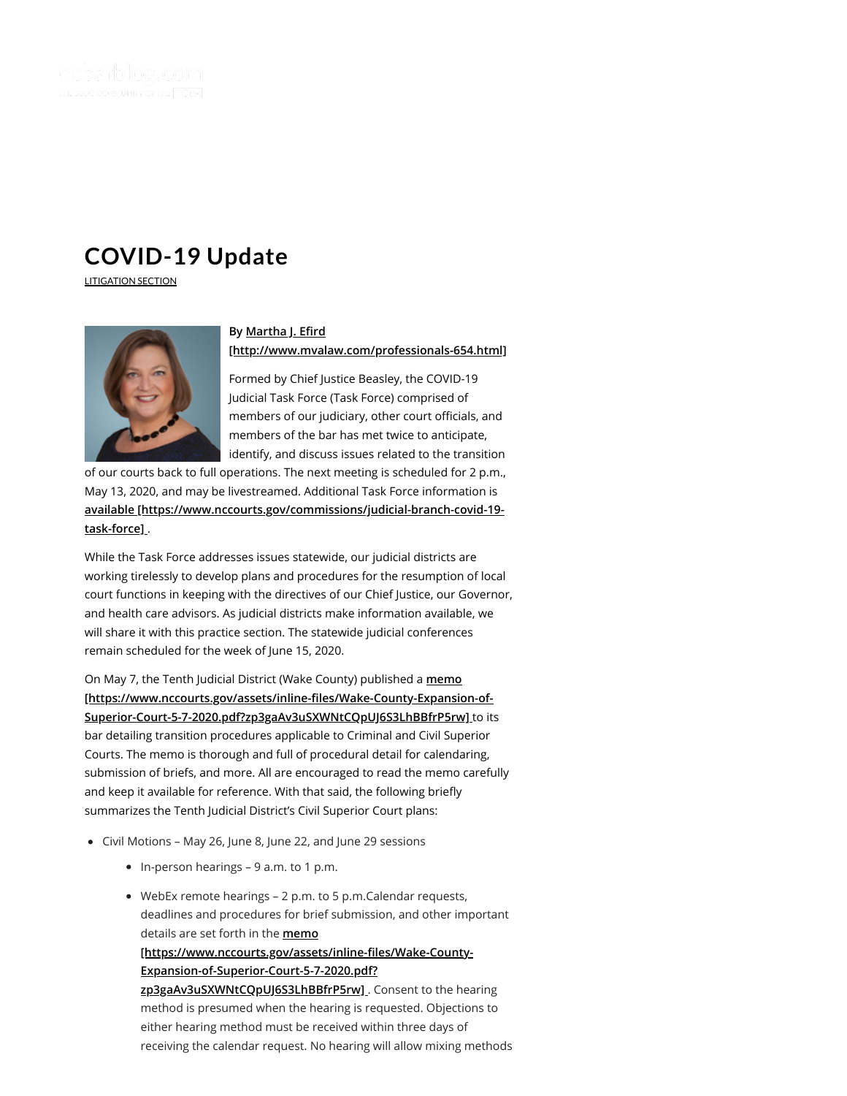

# **[COVID-19](https://ncbarblog.com/covid-19-update/) Update**

[LITIGATION](https://ncbarblog.com/category/litigation-section/) SECTION



# **By Martha J. Efird [\[http://www.mvalaw.com/professionals-654.html\]](http://www.mvalaw.com/professionals-654.html)**

Formed by Chief Justice Beasley, the COVID-19 Judicial Task Force (Task Force) comprised of members of our judiciary, other court officials, and members of the bar has met twice to anticipate, identify, and discuss issues related to the transition

of our courts back to full operations. The next meeting is scheduled for 2 p.m., May 13, 2020, and may be livestreamed. Additional Task Force information is **[available \[https://www.nccourts.gov/commissions/judicial-branch-covid-19](https://www.nccourts.gov/commissions/judicial-branch-covid-19-task-force) task-force]** .

While the Task Force addresses issues statewide, our judicial districts are working tirelessly to develop plans and procedures for the resumption of local court functions in keeping with the directives of our Chief Justice, our Governor, and health care advisors. As judicial districts make information available, we will share it with this practice section. The statewide judicial conferences remain scheduled for the week of June 15, 2020.

On May 7, the Tenth Judicial District (Wake County) published a **memo** [https://www.nccourts.gov/assets/inline-files/Wake-County-Expansion-of-**Superior-Court-5-7-2020.pdf?zp3gaAv3uSXWNtCQpUJ6S3LhBBfrP5rw]** to its bar detailing transition procedures applicable to Criminal and Civil Superior Courts. The memo is thorough and full of procedural detail for calendaring, submission of briefs, and more. All are encouraged to read the memo carefully and keep it available for reference. With that said, the following briefly summarizes the Tenth Judicial District's Civil Superior Court plans:

- Civil Motions May 26, June 8, June 22, and June 29 sessions
	- In-person hearings 9 a.m. to 1 p.m.
	- WebEx remote hearings 2 p.m. to 5 p.m.Calendar requests, deadlines and procedures for brief submission, and other important details are set forth in the **memo**

[https://www.nccourts.gov/assets/inline-files/Wake-County-**Expansion-of-Superior-Court-5-7-2020.pdf?**

**zp3gaAv3uSXWNtCQpUJ6S3LhBBfrP5rw]** . Consent to the hearing method is presumed when the hearing is requested. Objections to either hearing method must be received within three days of receiving the calendar request. No hearing will allow mixing methods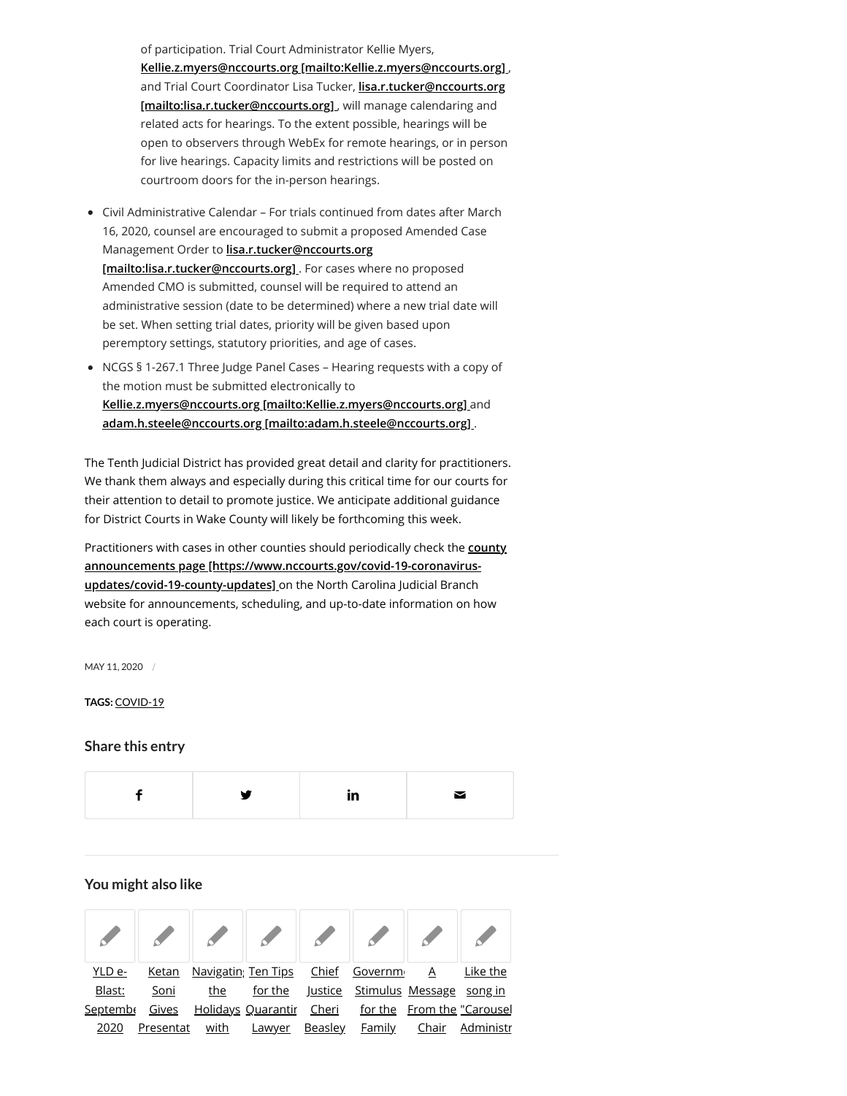of participation. Trial Court Administrator Kellie Myers, **[Kellie.z.myers@nccourts.org \[mailto:Kellie.z.myers@nccourts.org\]](mailto:Kellie.z.myers@nccourts.org)** , [and Trial Court Coordinator Lisa Tucker,](mailto:lisa.r.tucker@nccourts.org) **lisa.r.tucker@nccourts.org [mailto:lisa.r.tucker@nccourts.org]** , will manage calendaring and related acts for hearings. To the extent possible, hearings will be open to observers through WebEx for remote hearings, or in person for live hearings. Capacity limits and restrictions will be posted on courtroom doors for the in-person hearings.

- Civil Administrative Calendar For trials continued from dates after March 16, 2020, counsel are encouraged to submit a proposed Amended Case Management Order to **lisa.r.tucker@nccourts.org [\[mailto:lisa.r.tucker@nccourts.org\]](mailto:lisa.r.tucker@nccourts.org)** . For cases where no proposed Amended CMO is submitted, counsel will be required to attend an administrative session (date to be determined) where a new trial date will be set. When setting trial dates, priority will be given based upon peremptory settings, statutory priorities, and age of cases.
- NCGS § 1-267.1 Three Judge Panel Cases Hearing requests with a copy of the motion must be submitted electronically to **[Kellie.z.myers@nccourts.org \[mailto:Kellie.z.myers@nccourts.org\]](mailto:Kellie.z.myers@nccourts.org)** and **[adam.h.steele@nccourts.org \[mailto:adam.h.steele@nccourts.org\]](mailto:adam.h.steele@nccourts.org)** .

The Tenth Judicial District has provided great detail and clarity for practitioners. We thank them always and especially during this critical time for our courts for their attention to detail to promote justice. We anticipate additional guidance for District Courts in Wake County will likely be forthcoming this week.

Practitioners with cases in other counties should periodically check the **county [announcements page \[https://www.nccourts.gov/covid-19-coronavirus](https://www.nccourts.gov/covid-19-coronavirus-updates/covid-19-county-updates)updates/covid-19-county-updates]** on the North Carolina Judicial Branch website for announcements, scheduling, and up-to-date information on how each court is operating.

MAY 11, 2020 /

#### **TAGS:** [COVID-19](https://ncbarblog.com/tag/covid-19/)

### **Share this entry**



## **You might also like**